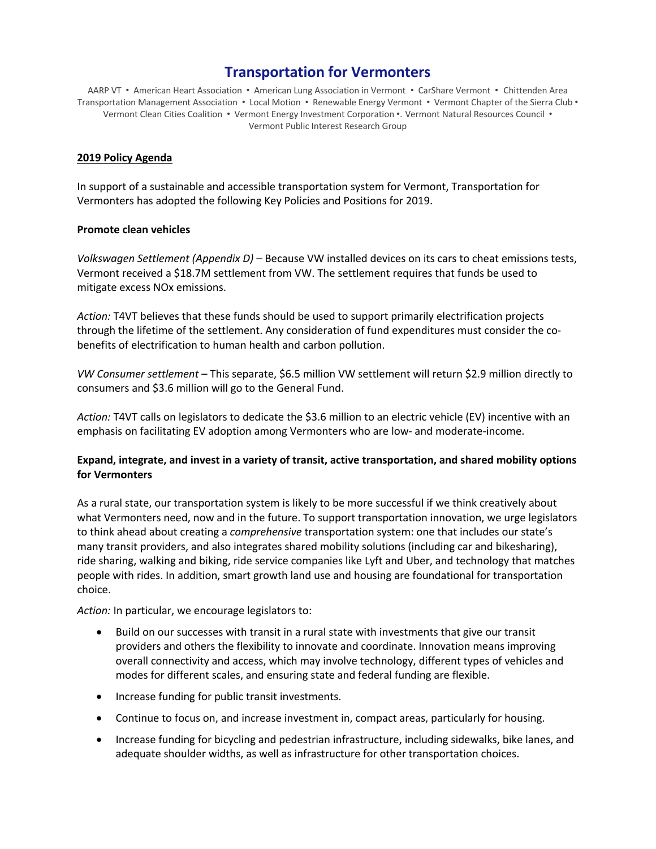# **Transportation for Vermonters**

AARP VT • American Heart Association • American Lung Association in Vermont • CarShare Vermont • Chittenden Area Transportation Management Association • Local Motion • Renewable Energy Vermont • Vermont Chapter of the Sierra Club • Vermont Clean Cities Coalition • Vermont Energy Investment Corporation •. Vermont Natural Resources Council • Vermont Public Interest Research Group

#### **2019 Policy Agenda**

In support of a sustainable and accessible transportation system for Vermont, Transportation for Vermonters has adopted the following Key Policies and Positions for 2019.

#### **Promote clean vehicles**

*Volkswagen Settlement (Appendix D)* – Because VW installed devices on its cars to cheat emissions tests, Vermont received a \$18.7M settlement from VW. The settlement requires that funds be used to mitigate excess NOx emissions.

*Action:* T4VT believes that these funds should be used to support primarily electrification projects through the lifetime of the settlement. Any consideration of fund expenditures must consider the cobenefits of electrification to human health and carbon pollution.

*VW Consumer settlement* – This separate, \$6.5 million VW settlement will return \$2.9 million directly to consumers and \$3.6 million will go to the General Fund.

*Action:* T4VT calls on legislators to dedicate the \$3.6 million to an electric vehicle (EV) incentive with an emphasis on facilitating EV adoption among Vermonters who are low- and moderate-income.

## **Expand, integrate, and invest in a variety of transit, active transportation, and shared mobility options for Vermonters**

As a rural state, our transportation system is likely to be more successful if we think creatively about what Vermonters need, now and in the future. To support transportation innovation, we urge legislators to think ahead about creating a *comprehensive* transportation system: one that includes our state's many transit providers, and also integrates shared mobility solutions (including car and bikesharing), ride sharing, walking and biking, ride service companies like Lyft and Uber, and technology that matches people with rides. In addition, smart growth land use and housing are foundational for transportation choice.

*Action:* In particular, we encourage legislators to:

- Build on our successes with transit in a rural state with investments that give our transit providers and others the flexibility to innovate and coordinate. Innovation means improving overall connectivity and access, which may involve technology, different types of vehicles and modes for different scales, and ensuring state and federal funding are flexible.
- Increase funding for public transit investments.
- Continue to focus on, and increase investment in, compact areas, particularly for housing.
- Increase funding for bicycling and pedestrian infrastructure, including sidewalks, bike lanes, and adequate shoulder widths, as well as infrastructure for other transportation choices.